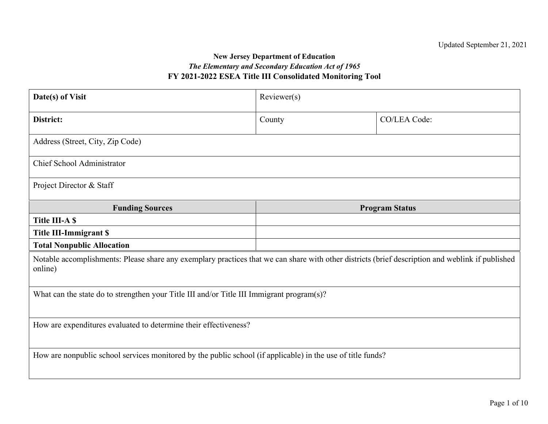#### **New Jersey Department of Education** *The Elementary and Secondary Education Act of 1965* **FY 2021-2022 ESEA Title III Consolidated Monitoring Tool**

| Date(s) of Visit                                                                                                                                            | Reviewer(s) |                       |  |  |  |  |  |  |
|-------------------------------------------------------------------------------------------------------------------------------------------------------------|-------------|-----------------------|--|--|--|--|--|--|
| District:                                                                                                                                                   | County      | CO/LEA Code:          |  |  |  |  |  |  |
| Address (Street, City, Zip Code)                                                                                                                            |             |                       |  |  |  |  |  |  |
| <b>Chief School Administrator</b>                                                                                                                           |             |                       |  |  |  |  |  |  |
| Project Director & Staff                                                                                                                                    |             |                       |  |  |  |  |  |  |
| <b>Funding Sources</b>                                                                                                                                      |             | <b>Program Status</b> |  |  |  |  |  |  |
| <b>Title III-A \$</b>                                                                                                                                       |             |                       |  |  |  |  |  |  |
| <b>Title III-Immigrant \$</b>                                                                                                                               |             |                       |  |  |  |  |  |  |
| <b>Total Nonpublic Allocation</b>                                                                                                                           |             |                       |  |  |  |  |  |  |
| Notable accomplishments: Please share any exemplary practices that we can share with other districts (brief description and weblink if published<br>online) |             |                       |  |  |  |  |  |  |
| What can the state do to strengthen your Title III and/or Title III Immigrant program(s)?                                                                   |             |                       |  |  |  |  |  |  |
| How are expenditures evaluated to determine their effectiveness?                                                                                            |             |                       |  |  |  |  |  |  |
| How are nonpublic school services monitored by the public school (if applicable) in the use of title funds?                                                 |             |                       |  |  |  |  |  |  |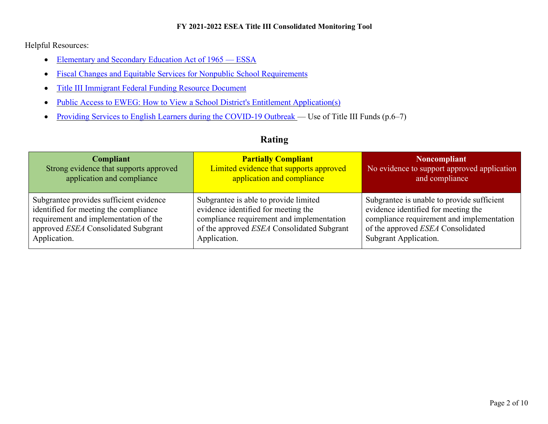Helpful Resources:

- [Elementary and Secondary Education Act of 1965 ESSA](http://legcounsel.house.gov/Comps/Elementary%20And%20Secondary%20Education%20Act%20Of%201965.pdf)
- [Fiscal Changes and Equitable Services for Nonpublic School Requirements](https://www2.ed.gov/policy/elsec/leg/essa/essaguidance160477.pdf)
- [Title III Immigrant Federal Funding Resource Document](https://www.state.nj.us/education/bilingual/title3/ESSATitleIIIAllowableAugust2019.pdf)
- [Public Access to EWEG: How to View a School District's Entitlement Application\(s\)](https://www.nj.gov/education/ESSA/guidance/njdoe/ewegvideo.shtml)
- [Providing Services to English Learners during the COVID-19 Outbreak —](https://www2.ed.gov/documents/coronavirus/covid-19-el-factsheet.pdf) Use of Title III Funds (p.6–7)

### **Rating**

| <b>Compliant</b>                        | <b>Partially Compliant</b>                 | <b>Noncompliant</b>                         |
|-----------------------------------------|--------------------------------------------|---------------------------------------------|
| Strong evidence that supports approved  | Limited evidence that supports approved    | No evidence to support approved application |
| application and compliance              | application and compliance                 | and compliance                              |
| Subgrantee provides sufficient evidence | Subgrantee is able to provide limited      | Subgrantee is unable to provide sufficient  |
| identified for meeting the compliance   | evidence identified for meeting the        | evidence identified for meeting the         |
| requirement and implementation of the   | compliance requirement and implementation  | compliance requirement and implementation   |
| approved ESEA Consolidated Subgrant     | of the approved ESEA Consolidated Subgrant | of the approved ESEA Consolidated           |
| Application.                            | Application.                               | Subgrant Application.                       |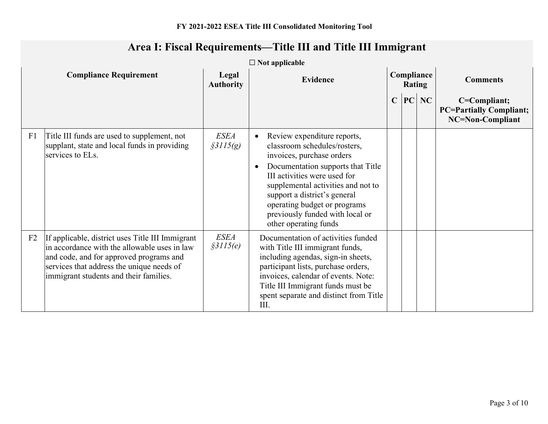|                | $\Box$ Not applicable                                                                                                                                                                                                              |                           |                                                                                                                                                                                                                                                                                                                                 |  |  |                             |                                                                    |  |  |
|----------------|------------------------------------------------------------------------------------------------------------------------------------------------------------------------------------------------------------------------------------|---------------------------|---------------------------------------------------------------------------------------------------------------------------------------------------------------------------------------------------------------------------------------------------------------------------------------------------------------------------------|--|--|-----------------------------|--------------------------------------------------------------------|--|--|
|                | <b>Compliance Requirement</b>                                                                                                                                                                                                      | Legal<br><b>Authority</b> | <b>Evidence</b>                                                                                                                                                                                                                                                                                                                 |  |  | Compliance<br><b>Rating</b> | <b>Comments</b>                                                    |  |  |
|                |                                                                                                                                                                                                                                    |                           |                                                                                                                                                                                                                                                                                                                                 |  |  | $C$ PC NC                   | C=Compliant;<br><b>PC=Partially Compliant;</b><br>NC=Non-Compliant |  |  |
| F <sub>1</sub> | Title III funds are used to supplement, not<br>supplant, state and local funds in providing<br>services to ELs.                                                                                                                    | <b>ESEA</b><br>\$3115(g)  | Review expenditure reports,<br>classroom schedules/rosters,<br>invoices, purchase orders<br>Documentation supports that Title<br>III activities were used for<br>supplemental activities and not to<br>support a district's general<br>operating budget or programs<br>previously funded with local or<br>other operating funds |  |  |                             |                                                                    |  |  |
| F <sub>2</sub> | If applicable, district uses Title III Immigrant<br>in accordance with the allowable uses in law<br>and code, and for approved programs and<br>services that address the unique needs of<br>immigrant students and their families. | <b>ESEA</b><br>\$3115(e)  | Documentation of activities funded<br>with Title III immigrant funds,<br>including agendas, sign-in sheets,<br>participant lists, purchase orders,<br>invoices, calendar of events. Note:<br>Title III Immigrant funds must be<br>spent separate and distinct from Title<br>III.                                                |  |  |                             |                                                                    |  |  |

# **Area I: Fiscal Requirements—Title III and Title III Immigrant**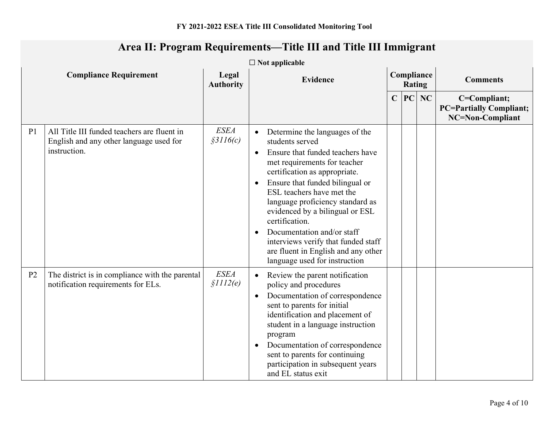|                | $\Box$ Not applicable                                                                                  |                           |                                     |                                                                                                                                                                                                                                                                                                                                                                                                                                                              |                             |    |    |                                                                    |  |
|----------------|--------------------------------------------------------------------------------------------------------|---------------------------|-------------------------------------|--------------------------------------------------------------------------------------------------------------------------------------------------------------------------------------------------------------------------------------------------------------------------------------------------------------------------------------------------------------------------------------------------------------------------------------------------------------|-----------------------------|----|----|--------------------------------------------------------------------|--|
|                | <b>Compliance Requirement</b>                                                                          | Legal<br><b>Authority</b> | <b>Evidence</b>                     |                                                                                                                                                                                                                                                                                                                                                                                                                                                              | Compliance<br><b>Rating</b> |    |    | <b>Comments</b>                                                    |  |
|                |                                                                                                        |                           |                                     |                                                                                                                                                                                                                                                                                                                                                                                                                                                              | $\mathbf C$                 | PC | NC | C=Compliant;<br><b>PC=Partially Compliant;</b><br>NC=Non-Compliant |  |
| P <sub>1</sub> | All Title III funded teachers are fluent in<br>English and any other language used for<br>instruction. | <b>ESEA</b><br>\$3116(c)  | $\bullet$<br>$\bullet$<br>$\bullet$ | Determine the languages of the<br>students served<br>Ensure that funded teachers have<br>met requirements for teacher<br>certification as appropriate.<br>Ensure that funded bilingual or<br>ESL teachers have met the<br>language proficiency standard as<br>evidenced by a bilingual or ESL<br>certification.<br>Documentation and/or staff<br>interviews verify that funded staff<br>are fluent in English and any other<br>language used for instruction |                             |    |    |                                                                    |  |
| P <sub>2</sub> | The district is in compliance with the parental<br>notification requirements for ELs.                  | <b>ESEA</b><br>\$III2(e)  | $\bullet$<br>$\bullet$<br>$\bullet$ | Review the parent notification<br>policy and procedures<br>Documentation of correspondence<br>sent to parents for initial<br>identification and placement of<br>student in a language instruction<br>program<br>Documentation of correspondence<br>sent to parents for continuing<br>participation in subsequent years<br>and EL status exit                                                                                                                 |                             |    |    |                                                                    |  |

# **Area II: Program Requirements—Title III and Title III Immigrant**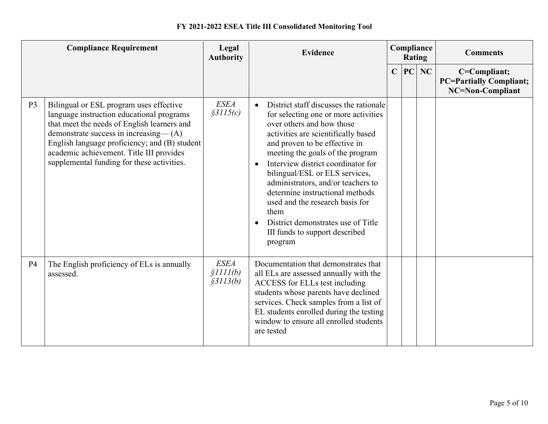|                | <b>Compliance Requirement</b>                                                                                                                                                                                                                                                                                           | Legal<br><b>Authority</b>            | <b>Evidence</b>                                                                                                                                                                                                                                                                                                                                                                                                                                                                                                                               | Compliance<br><b>Rating</b> |    |    | <b>Comments</b>                                                    |
|----------------|-------------------------------------------------------------------------------------------------------------------------------------------------------------------------------------------------------------------------------------------------------------------------------------------------------------------------|--------------------------------------|-----------------------------------------------------------------------------------------------------------------------------------------------------------------------------------------------------------------------------------------------------------------------------------------------------------------------------------------------------------------------------------------------------------------------------------------------------------------------------------------------------------------------------------------------|-----------------------------|----|----|--------------------------------------------------------------------|
|                |                                                                                                                                                                                                                                                                                                                         |                                      |                                                                                                                                                                                                                                                                                                                                                                                                                                                                                                                                               | $\mathbf C$                 | PC | NC | C=Compliant;<br><b>PC=Partially Compliant;</b><br>NC=Non-Compliant |
| P <sub>3</sub> | Bilingual or ESL program uses effective<br>language instruction educational programs<br>that meet the needs of English learners and<br>demonstrate success in increasing-(A)<br>English language proficiency; and (B) student<br>academic achievement. Title III provides<br>supplemental funding for these activities. | <b>ESEA</b><br>\$3115(c)             | District staff discusses the rationale<br>$\bullet$<br>for selecting one or more activities<br>over others and how those<br>activities are scientifically based<br>and proven to be effective in<br>meeting the goals of the program<br>Interview district coordinator for<br>$\bullet$<br>bilingual/ESL or ELS services,<br>administrators, and/or teachers to<br>determine instructional methods<br>used and the research basis for<br>them<br>District demonstrates use of Title<br>$\bullet$<br>III funds to support described<br>program |                             |    |    |                                                                    |
| P <sub>4</sub> | The English proficiency of ELs is annually<br>assessed.                                                                                                                                                                                                                                                                 | <b>ESEA</b><br>\$III(b)<br>\$3113(b) | Documentation that demonstrates that<br>all ELs are assessed annually with the<br>ACCESS for ELLs test including<br>students whose parents have declined<br>services. Check samples from a list of<br>EL students enrolled during the testing<br>window to ensure all enrolled students<br>are tested                                                                                                                                                                                                                                         |                             |    |    |                                                                    |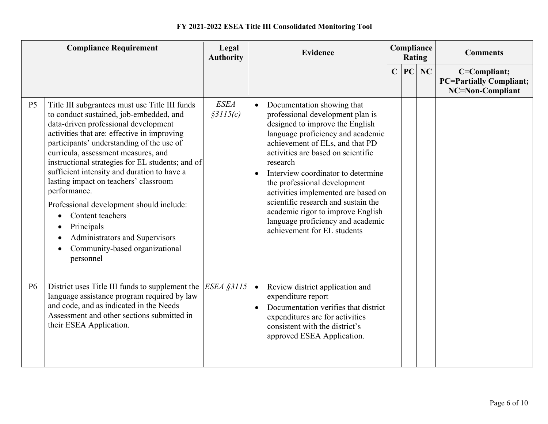| <b>Compliance Requirement</b> |                                                                                                                                                                                                                                                                                                                                                                                                                                                                                                                                                                                                      | Legal<br><b>Evidence</b><br><b>Authority</b> |                        |                                                                                                                                                                                                                                                                                                                                                                                                                                                                                          |             | <b>Rating</b> | Compliance | <b>Comments</b>                                                    |
|-------------------------------|------------------------------------------------------------------------------------------------------------------------------------------------------------------------------------------------------------------------------------------------------------------------------------------------------------------------------------------------------------------------------------------------------------------------------------------------------------------------------------------------------------------------------------------------------------------------------------------------------|----------------------------------------------|------------------------|------------------------------------------------------------------------------------------------------------------------------------------------------------------------------------------------------------------------------------------------------------------------------------------------------------------------------------------------------------------------------------------------------------------------------------------------------------------------------------------|-------------|---------------|------------|--------------------------------------------------------------------|
|                               |                                                                                                                                                                                                                                                                                                                                                                                                                                                                                                                                                                                                      |                                              |                        |                                                                                                                                                                                                                                                                                                                                                                                                                                                                                          | $\mathbf C$ | PC            | NC         | C=Compliant;<br><b>PC=Partially Compliant;</b><br>NC=Non-Compliant |
| P <sub>5</sub>                | Title III subgrantees must use Title III funds<br>to conduct sustained, job-embedded, and<br>data-driven professional development<br>activities that are: effective in improving<br>participants' understanding of the use of<br>curricula, assessment measures, and<br>instructional strategies for EL students; and of<br>sufficient intensity and duration to have a<br>lasting impact on teachers' classroom<br>performance.<br>Professional development should include:<br>Content teachers<br>Principals<br>٠<br>Administrators and Supervisors<br>Community-based organizational<br>personnel | <b>ESEA</b><br>\$3115(c)                     | $\bullet$<br>$\bullet$ | Documentation showing that<br>professional development plan is<br>designed to improve the English<br>language proficiency and academic<br>achievement of ELs, and that PD<br>activities are based on scientific<br>research<br>Interview coordinator to determine<br>the professional development<br>activities implemented are based on<br>scientific research and sustain the<br>academic rigor to improve English<br>language proficiency and academic<br>achievement for EL students |             |               |            |                                                                    |
| <b>P6</b>                     | District uses Title III funds to supplement the<br>language assistance program required by law<br>and code, and as indicated in the Needs<br>Assessment and other sections submitted in<br>their ESEA Application.                                                                                                                                                                                                                                                                                                                                                                                   | ESEA §3115                                   | $\bullet$<br>$\bullet$ | Review district application and<br>expenditure report<br>Documentation verifies that district<br>expenditures are for activities<br>consistent with the district's<br>approved ESEA Application.                                                                                                                                                                                                                                                                                         |             |               |            |                                                                    |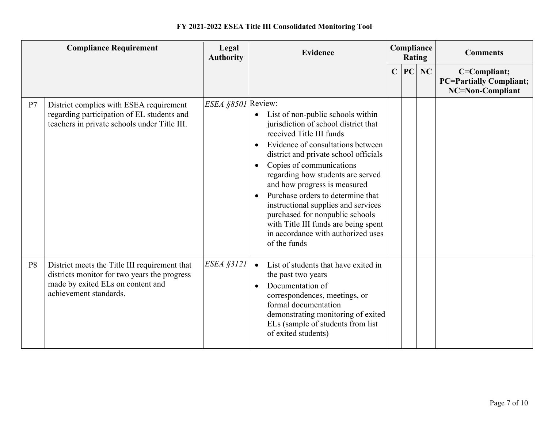|                | <b>Compliance Requirement</b>                                                                                                                                | Legal<br><b>Authority</b> | <b>Evidence</b>                                                                                                                                                                                                                                                                                                                                                                                                                                                                                                                                       | Compliance<br>Rating |    |    | <b>Comments</b>                                                    |
|----------------|--------------------------------------------------------------------------------------------------------------------------------------------------------------|---------------------------|-------------------------------------------------------------------------------------------------------------------------------------------------------------------------------------------------------------------------------------------------------------------------------------------------------------------------------------------------------------------------------------------------------------------------------------------------------------------------------------------------------------------------------------------------------|----------------------|----|----|--------------------------------------------------------------------|
|                |                                                                                                                                                              |                           |                                                                                                                                                                                                                                                                                                                                                                                                                                                                                                                                                       | $\mathbf C$          | PC | NC | C=Compliant;<br><b>PC=Partially Compliant;</b><br>NC=Non-Compliant |
| P7             | District complies with ESEA requirement<br>regarding participation of EL students and<br>teachers in private schools under Title III.                        | ESEA §8501 Review:        | List of non-public schools within<br>$\bullet$<br>jurisdiction of school district that<br>received Title III funds<br>Evidence of consultations between<br>$\bullet$<br>district and private school officials<br>Copies of communications<br>$\bullet$<br>regarding how students are served<br>and how progress is measured<br>Purchase orders to determine that<br>$\bullet$<br>instructional supplies and services<br>purchased for nonpublic schools<br>with Title III funds are being spent<br>in accordance with authorized uses<br>of the funds |                      |    |    |                                                                    |
| P <sub>8</sub> | District meets the Title III requirement that<br>districts monitor for two years the progress<br>made by exited ELs on content and<br>achievement standards. | <b>ESEA §3121</b>         | List of students that have exited in<br>$\bullet$<br>the past two years<br>Documentation of<br>$\bullet$<br>correspondences, meetings, or<br>formal documentation<br>demonstrating monitoring of exited<br>ELs (sample of students from list)<br>of exited students)                                                                                                                                                                                                                                                                                  |                      |    |    |                                                                    |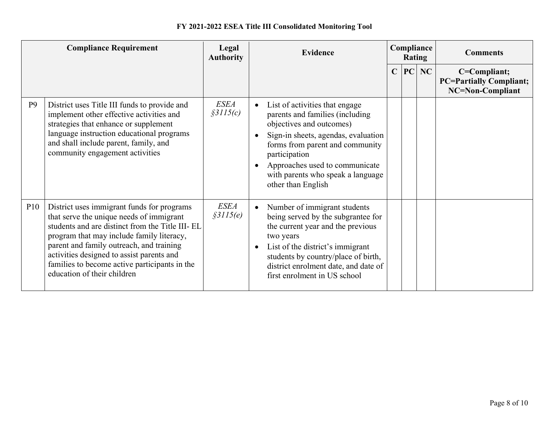|                | <b>Compliance Requirement</b>                                                                                                                                                                                                                                                                                                                                   | Legal<br><b>Authority</b> | <b>Evidence</b>                                                                                                                                                                                                                                                                                   | Compliance<br><b>Rating</b> |    |    | <b>Comments</b>                                                    |  |
|----------------|-----------------------------------------------------------------------------------------------------------------------------------------------------------------------------------------------------------------------------------------------------------------------------------------------------------------------------------------------------------------|---------------------------|---------------------------------------------------------------------------------------------------------------------------------------------------------------------------------------------------------------------------------------------------------------------------------------------------|-----------------------------|----|----|--------------------------------------------------------------------|--|
|                |                                                                                                                                                                                                                                                                                                                                                                 |                           |                                                                                                                                                                                                                                                                                                   | $\mathbf C$                 | PC | NC | C=Compliant;<br><b>PC=Partially Compliant;</b><br>NC=Non-Compliant |  |
| P <sub>9</sub> | District uses Title III funds to provide and<br>implement other effective activities and<br>strategies that enhance or supplement<br>language instruction educational programs<br>and shall include parent, family, and<br>community engagement activities                                                                                                      | <b>ESEA</b><br>\$3115(c)  | List of activities that engage<br>parents and families (including<br>objectives and outcomes)<br>Sign-in sheets, agendas, evaluation<br>forms from parent and community<br>participation<br>Approaches used to communicate<br>with parents who speak a language<br>other than English             |                             |    |    |                                                                    |  |
| <b>P10</b>     | District uses immigrant funds for programs<br>that serve the unique needs of immigrant<br>students and are distinct from the Title III-EL<br>program that may include family literacy,<br>parent and family outreach, and training<br>activities designed to assist parents and<br>families to become active participants in the<br>education of their children | <b>ESEA</b><br>\$3115(e)  | Number of immigrant students<br>$\bullet$<br>being served by the subgrantee for<br>the current year and the previous<br>two years<br>List of the district's immigrant<br>$\bullet$<br>students by country/place of birth,<br>district enrolment date, and date of<br>first enrolment in US school |                             |    |    |                                                                    |  |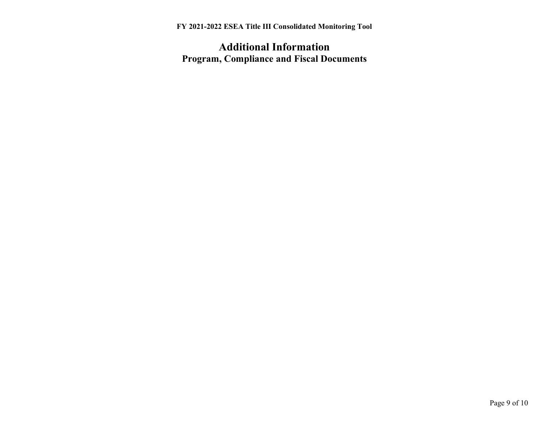## **Additional Information Program, Compliance and Fiscal Documents**